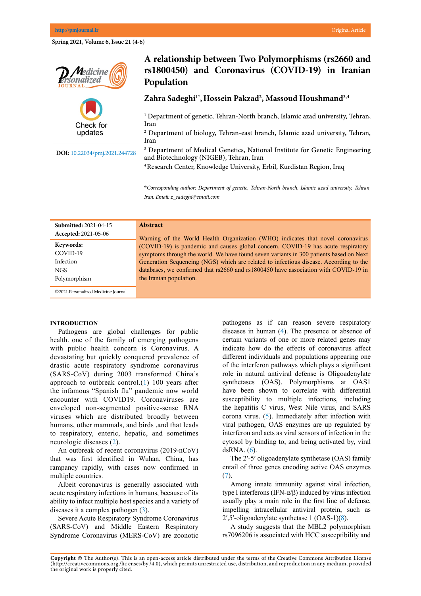**Spring 2021, Volume 6, Issue 21 (4-6)**





**DOI:** [1](http://www.pmjournal.ir/article_43457.html)0.22034/pmj.2021.244728

# **A relationship between Two Polymorphisms (rs2660 and rs1800450) and Coronavirus (COVID-19) in Iranian Population**

## **Zahra Sadeghi1\* ,Hossein Pakzad<sup>2</sup> , Massoud Houshmand3,4**

<sup>1</sup> Department of genetic, Tehran-North branch, Islamic azad university, Tehran, Iran

2 Department of biology, Tehran-east branch, Islamic azad university, Tehran, Iran

<sup>3</sup> Department of Medical Genetics, National Institute for Genetic Engineering and Biotechnology (NIGEB), Tehran, Iran

<sup>4</sup>Research Center, Knowledge University, Erbil, Kurdistan Region, Iraq

**\****Corresponding author: Department of genetic, Tehran-North branch, Islamic azad university, Tehran, Iran. Email: z\_sadeghi@email.com*

| <b>Submitted: 2021-04-15</b>        | <b>Abstract</b>                                                                        |
|-------------------------------------|----------------------------------------------------------------------------------------|
| Accepted: 2021-05-06                | Warning of the World Health Organization (WHO) indicates that novel coronavirus        |
| Keywords:                           | (COVID-19) is pandemic and causes global concern. COVID-19 has acute respiratory       |
| COVID-19                            | symptoms through the world. We have found seven variants in 300 patients based on Next |
| Infection                           | Generation Sequencing (NGS) which are related to infectious disease. According to the  |
| <b>NGS</b>                          | databases, we confirmed that rs2660 and rs1800450 have association with COVID-19 in    |
| Polymorphism                        | the Iranian population.                                                                |
| ©2021.Personalized Medicine Journal |                                                                                        |

#### **Introduction**

Pathogens are global challenges for public health. one of the family of emerging pathogens with public health concern is Coronavirus. A devastating but quickly conquered prevalence of drastic acute respiratory syndrome coronavirus (SARS-CoV) during 2003 transformed China's approach to outbreak control. $(1)$  100 years after the infamous "Spanish flu" pandemic now world encounter with COVID19. Coronaviruses are enveloped non-segmented positive-sense RNA viruses which are distributed broadly between humans, other mammals, and birds ,and that leads to respiratory, enteric, hepatic, and sometimes neurologic diseases ([2](#page-2-0)).

An outbreak of recent coronavirus (2019-nCoV) that was first identified in Wuhan, China, has rampancy rapidly, with cases now confirmed in multiple countries.

Albeit coronavirus is generally associated with acute respiratory infections in humans, because of its ability to infect multiple host species and a variety of diseases it a complex pathogen ([3\)](#page-2-0).

Severe Acute Respiratory Syndrome Coronavirus (SARS-CoV) and Middle Eastern Respiratory Syndrome Coronavirus (MERS-CoV) are zoonotic pathogens as if can reason severe respiratory diseases in human ([4](#page-2-0)). The presence or absence of certain variants of one or more related genes may indicate how do the effects of coronavirus affect different individuals and populations appearing one of the interferon pathways which plays a significant role in natural antiviral defense is Oligoadenylate synthetases (OAS). Polymorphisms at OAS1 have been shown to correlate with differential susceptibility to multiple infections, including the hepatitis C virus, West Nile virus, and SARS corona virus. ([5](#page-2-0)). Immediately after infection with viral pathogen, OAS enzymes are up regulated by interferon and acts as viral sensors of infection in the cytosol by binding to, and being activated by, viral dsRNA. ([6](#page-2-0)).

The 2′-5′ oligoadenylate synthetase (OAS) family entail of three genes encoding active OAS enzymes  $(7).$  $(7).$  $(7).$ 

Among innate immunity against viral infection, type I interferons (IFN- $\alpha$ /β) induced by virus infection usually play a main role in the first line of defense, impelling intracellular antiviral protein, such as 2′,5′-oligoadenylate synthetase 1 (OAS-1)[\(8](#page-2-0)).

A study suggests that the MBL2 polymorphism rs7096206 is associated with HCC susceptibility and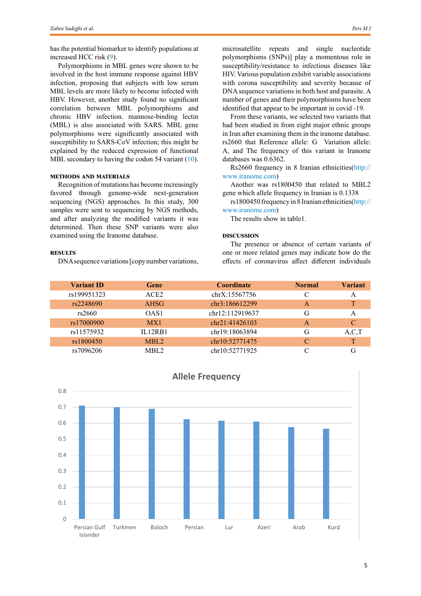has the potential biomarker to identify populations at increased HCC risk [\(9](#page-2-0)).

Polymorphisms in MBL genes were shown to be involved in the host immune response against HBV infection, proposing that subjects with low serum MBL levels are more likely to become infected with HBV. However, another study found no significant correlation between MBL polymorphisms and chronic HBV infection. mannose-binding lectin (MBL) is also associated with SARS. MBL gene polymorphisms were significantly associated with susceptibility to SARS-CoV infection; this might be explained by the reduced expression of functional MBL secondary to having the codon 54 variant ([10\)](#page-2-0).

#### **Methods and materials**

Recognition of mutations has become increasingly favored through genome-wide next-generation sequencing (NGS) approaches. In this study, 300 samples were sent to sequencing by NGS methods, and after analyzing the modified variants it was determined. Then these SNP variants were also examined using the Iranome database.

### **RESULTS**

DNA sequence variations [copy number variations,

microsatellite repeats and single nucleotide polymorphisms (SNPs)] play a momentous role in susceptibility/resistance to infectious diseases like HIV. Various population exhibit variable associations with corona susceptibility and severity because of DNA sequence variations in both host and parasite. A number of genes and their polymorphisms have been

identified that appear to be important in covid -19. From these variants, we selected two variants that had been studied in from eight major ethnic groups in Iran after examining them in the iranome database. rs2660 that Reference allele: G Variation allele: A, and The frequency of this variant in Iranome databases was 0.6362.

Rs2660 frequency in 8 Iranian ethnicities([http://](http://www.iranome.com) [www.iranome.com\)](http://www.iranome.com)

Another was rs1800450 that related to MBL2 gene which allele frequency in Iranian is 0.1338

rs1800450 frequency in 8 Iranian ethnicities([http://](http://www.iranome.com) [www.iranome.com\)](http://www.iranome.com)

The results show in table1.

### **Discussion**

The presence or absence of certain variants of one or more related genes may indicate how do the effects of coronavirus affect different individuals

| <b>Variant ID</b> | Gene             | <b>Coordinate</b> | <b>Normal</b> | <b>Variant</b> |
|-------------------|------------------|-------------------|---------------|----------------|
| rs199951323       | ACE <sub>2</sub> | chrX:15567756     | C             | A              |
| rs2248690         | <b>AHSG</b>      | chr3:186612299    | A             |                |
| rs2660            | OAS1             | chr12:112919637   | G             | A              |
| rs17000900        | MX1              | chr21:41426103    | A             |                |
| rs11575932        | IL12RB1          | chr19:18063894    | G             | A, C, T        |
| rs1800450         | MBL <sub>2</sub> | chr10:52771475    | $\mathcal{C}$ | т              |
| rs7096206         | MBL <sub>2</sub> | chr10:52771925    | C.            |                |